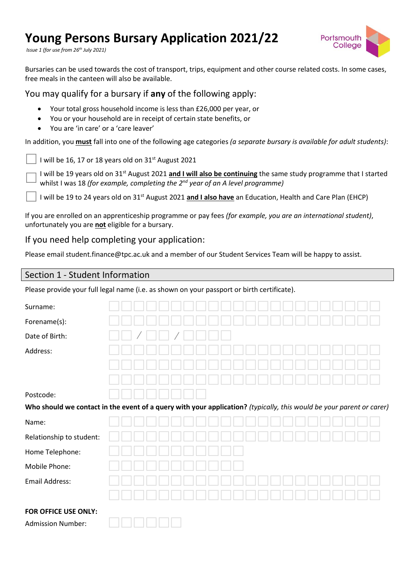# **Young Persons Bursary Application 2021/22**

*Issue 1 (for use from 26th July 2021)*



Bursaries can be used towards the cost of transport, trips, equipment and other course related costs. In some cases, free meals in the canteen will also be available.

You may qualify for a bursary if **any** of the following apply:

- Your total gross household income is less than £26,000 per year, or
- You or your household are in receipt of certain state benefits, or
- You are 'in care' or a 'care leaver'

In addition, you **must** fall into one of the following age categories *(a separate bursary is available for adult students)*:

I will be 16, 17 or 18 years old on  $31<sup>st</sup>$  August 2021

 $\Box$ I will be 19 years old on 31st August 2021 **and I will also be continuing** the same study programme that I started whilst I was 18 *(for example, completing the 2nd year of an A level programme)*

I will be 19 to 24 years old on 31st August 2021 **and I also have** an Education, Health and Care Plan (EHCP)

If you are enrolled on an apprenticeship programme or pay fees *(for example, you are an international student)*, unfortunately you are **not** eligible for a bursary.

## If you need help completing your application:

Please email student.finance@tpc.ac.uk and a member of our Student Services Team will be happy to assist.

## Section 1 - Student Information

Please provide your full legal name (i.e. as shown on your passport or birth certificate).

| Surname:                                                                                                             |  |  |  |  |  |  |  |  |  |  |  |  |  |  |  |
|----------------------------------------------------------------------------------------------------------------------|--|--|--|--|--|--|--|--|--|--|--|--|--|--|--|
| Forename(s):                                                                                                         |  |  |  |  |  |  |  |  |  |  |  |  |  |  |  |
| Date of Birth:                                                                                                       |  |  |  |  |  |  |  |  |  |  |  |  |  |  |  |
| Address:                                                                                                             |  |  |  |  |  |  |  |  |  |  |  |  |  |  |  |
|                                                                                                                      |  |  |  |  |  |  |  |  |  |  |  |  |  |  |  |
|                                                                                                                      |  |  |  |  |  |  |  |  |  |  |  |  |  |  |  |
| Postcode:                                                                                                            |  |  |  |  |  |  |  |  |  |  |  |  |  |  |  |
| Who should we contact in the event of a query with your application? (typically, this would be your parent or carer) |  |  |  |  |  |  |  |  |  |  |  |  |  |  |  |
| Name:                                                                                                                |  |  |  |  |  |  |  |  |  |  |  |  |  |  |  |
| Relationship to student:                                                                                             |  |  |  |  |  |  |  |  |  |  |  |  |  |  |  |
| Home Telephone:                                                                                                      |  |  |  |  |  |  |  |  |  |  |  |  |  |  |  |
| Mobile Phone:                                                                                                        |  |  |  |  |  |  |  |  |  |  |  |  |  |  |  |
| Email Address:                                                                                                       |  |  |  |  |  |  |  |  |  |  |  |  |  |  |  |
|                                                                                                                      |  |  |  |  |  |  |  |  |  |  |  |  |  |  |  |
|                                                                                                                      |  |  |  |  |  |  |  |  |  |  |  |  |  |  |  |
| FOR OFFICE USE ONLY:                                                                                                 |  |  |  |  |  |  |  |  |  |  |  |  |  |  |  |

Admission Number: **Admission Number: Admission Number:**  $\boxed{11}$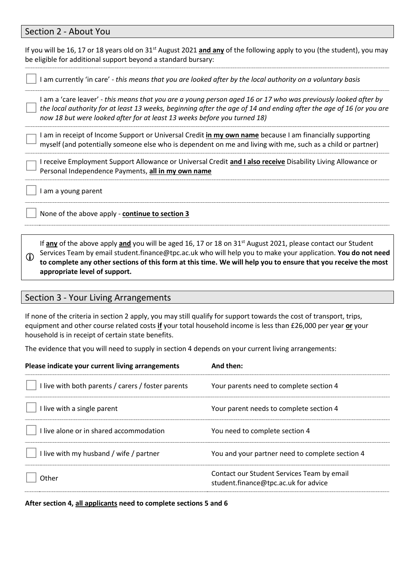### Section 2 - About You

 $\Box$ 

 $\Box$ 

| If you will be 16, 17 or 18 years old on $31^{st}$ August 2021 and any of the following apply to you (the student), you may |  |
|-----------------------------------------------------------------------------------------------------------------------------|--|
| be eligible for additional support beyond a standard bursary:                                                               |  |

I am currently 'in care' - *this means that you are looked after by the local authority on a voluntary basis*

I am a 'care leaver' - *this means that you are a young person aged 16 or 17 who was previously looked after by the local authority for at least 13 weeks, beginning after the age of 14 and ending after the age of 16 (or you are now 18 but were looked after for at least 13 weeks before you turned 18)*

 $\Box$ I am in receipt of Income Support or Universal Credit **in my own name** because I am financially supporting myself (and potentially someone else who is dependent on me and living with me, such as a child or partner)

I receive Employment Support Allowance or Universal Credit **and I also receive** Disability Living Allowance or Personal Independence Payments, **all in my own name**

I am a young parent

None of the above apply - **continue to section 3**

 $\circled{f}$ If **any** of the above apply **and** you will be aged 16, 17 or 18 on 31st August 2021, please contact our Student Services Team by email student.finance@tpc.ac.uk who will help you to make your application. **You do not need to complete any other sections of this form at this time. We will help you to ensure that you receive the most appropriate level of support.**

#### Section 3 - Your Living Arrangements

If none of the criteria in section 2 apply, you may still qualify for support towards the cost of transport, trips, equipment and other course related costs **if** your total household income is less than £26,000 per year **or** your household is in receipt of certain state benefits.

The evidence that you will need to supply in section 4 depends on your current living arrangements:

| Please indicate your current living arrangements   | And then:                                                                          |
|----------------------------------------------------|------------------------------------------------------------------------------------|
| I live with both parents / carers / foster parents | Your parents need to complete section 4                                            |
| live with a single parent                          | Your parent needs to complete section 4                                            |
| live alone or in shared accommodation              | You need to complete section 4                                                     |
| I live with my husband / wife / partner            | You and your partner need to complete section 4                                    |
| Other                                              | Contact our Student Services Team by email<br>student.finance@tpc.ac.uk for advice |

**After section 4, all applicants need to complete sections 5 and 6**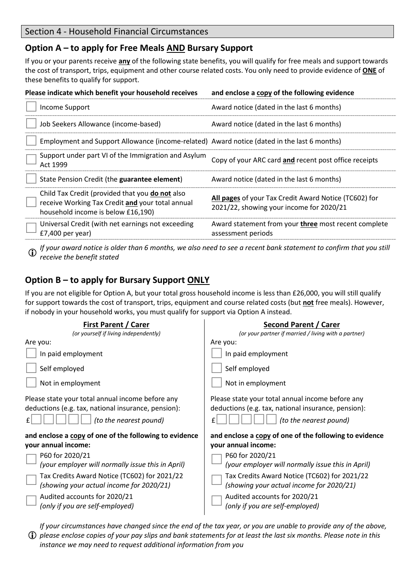# **Option A – to apply for Free Meals AND Bursary Support**

If you or your parents receive **any** of the following state benefits, you will qualify for free meals and support towards the cost of transport, trips, equipment and other course related costs. You only need to provide evidence of **ONE** of these benefits to qualify for support.

| Please indicate which benefit your household receives                                                                                     | and enclose a copy of the following evidence                                                      |
|-------------------------------------------------------------------------------------------------------------------------------------------|---------------------------------------------------------------------------------------------------|
| Income Support                                                                                                                            | Award notice (dated in the last 6 months)                                                         |
| Job Seekers Allowance (income-based)                                                                                                      | Award notice (dated in the last 6 months)                                                         |
| Employment and Support Allowance (income-related) Award notice (dated in the last 6 months)                                               |                                                                                                   |
| Support under part VI of the Immigration and Asylum<br>Act 1999                                                                           | Copy of your ARC card and recent post office receipts                                             |
| State Pension Credit (the guarantee element)                                                                                              | Award notice (dated in the last 6 months)                                                         |
| Child Tax Credit (provided that you do not also<br>receive Working Tax Credit and your total annual<br>household income is below £16,190) | All pages of your Tax Credit Award Notice (TC602) for<br>2021/22, showing your income for 2020/21 |
| Universal Credit (with net earnings not exceeding<br>$£7,400$ per year)                                                                   | Award statement from your three most recent complete<br>assessment periods                        |

 $\mathbf{r}$ *If your award notice is older than 6 months, we also need to see a recent bank statement to confirm that you still receive the benefit stated*

# **Option B – to apply for Bursary Support ONLY**

If you are not eligible for Option A, but your total gross household income is less than £26,000, you will still qualify for support towards the cost of transport, trips, equipment and course related costs (but **not** free meals). However, if nobody in your household works, you must qualify for support via Option A instead.

| <b>First Parent / Carer</b>                                                                                                       | Second Parent / Carer                                                                                                             |
|-----------------------------------------------------------------------------------------------------------------------------------|-----------------------------------------------------------------------------------------------------------------------------------|
| (or yourself if living independently)                                                                                             | (or your partner if married / living with a partner)                                                                              |
| Are you:                                                                                                                          | Are you:                                                                                                                          |
| In paid employment                                                                                                                | In paid employment                                                                                                                |
| Self employed                                                                                                                     | Self employed                                                                                                                     |
| Not in employment                                                                                                                 | Not in employment                                                                                                                 |
| Please state your total annual income before any<br>deductions (e.g. tax, national insurance, pension):<br>(to the nearest pound) | Please state your total annual income before any<br>deductions (e.g. tax, national insurance, pension):<br>(to the nearest pound) |
|                                                                                                                                   |                                                                                                                                   |
| and enclose a copy of one of the following to evidence<br>your annual income:                                                     | and enclose a copy of one of the following to evidence<br>your annual income:                                                     |
| P60 for 2020/21                                                                                                                   | P60 for 2020/21                                                                                                                   |
| (your employer will normally issue this in April)                                                                                 | (your employer will normally issue this in April)                                                                                 |
| Tax Credits Award Notice (TC602) for 2021/22<br>(showing your actual income for 2020/21)                                          | Tax Credits Award Notice (TC602) for 2021/22<br>(showing your actual income for 2020/21)                                          |
| Audited accounts for 2020/21                                                                                                      | Audited accounts for 2020/21                                                                                                      |
| (only if you are self-employed)                                                                                                   | (only if you are self-employed)                                                                                                   |

 *please enclose copies of your pay slips and bank statements for at least the last six months. Please note in this If your circumstances have changed since the end of the tax year, or you are unable to provide any of the above, instance we may need to request additional information from you*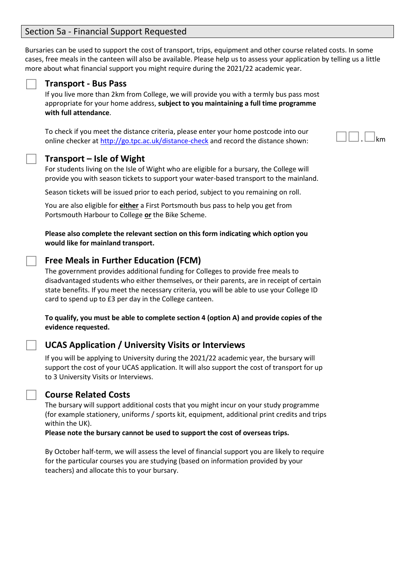## Section 5a - Financial Support Requested

Bursaries can be used to support the cost of transport, trips, equipment and other course related costs. In some cases, free meals in the canteen will also be available. Please help us to assess your application by telling us a little more about what financial support you might require during the 2021/22 academic year.

#### **Transport - Bus Pass**

If you live more than 2km from College, we will provide you with a termly bus pass most appropriate for your home address, **subject to you maintaining a full time programme with full attendance**.

To check if you meet the distance criteria, please enter your home postcode into our online checker at<http://go.tpc.ac.uk/distance-check> and record the distance shown:  $\Box\Box$ km

#### **Transport – Isle of Wight**

For students living on the Isle of Wight who are eligible for a bursary, the College will provide you with season tickets to support your water-based transport to the mainland.

Season tickets will be issued prior to each period, subject to you remaining on roll.

You are also eligible for **either** a First Portsmouth bus pass to help you get from Portsmouth Harbour to College **or** the Bike Scheme.

**Please also complete the relevant section on this form indicating which option you would like for mainland transport.**

### **Free Meals in Further Education (FCM)**

The government provides additional funding for Colleges to provide free meals to disadvantaged students who either themselves, or their parents, are in receipt of certain state benefits. If you meet the necessary criteria, you will be able to use your College ID card to spend up to £3 per day in the College canteen.

**To qualify, you must be able to complete section 4 (option A) and provide copies of the evidence requested.**

#### **UCAS Application / University Visits or Interviews**

If you will be applying to University during the 2021/22 academic year, the bursary will support the cost of your UCAS application. It will also support the cost of transport for up to 3 University Visits or Interviews.

#### **Course Related Costs**

The bursary will support additional costs that you might incur on your study programme (for example stationery, uniforms / sports kit, equipment, additional print credits and trips within the UK).

**Please note the bursary cannot be used to support the cost of overseas trips.**

By October half-term, we will assess the level of financial support you are likely to require for the particular courses you are studying (based on information provided by your teachers) and allocate this to your bursary.

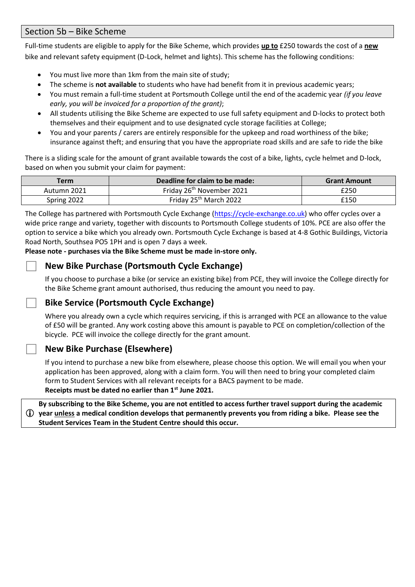## Section 5b – Bike Scheme

Full-time students are eligible to apply for the Bike Scheme, which provides **up to** £250 towards the cost of a **new** bike and relevant safety equipment (D-Lock, helmet and lights). This scheme has the following conditions:

- You must live more than 1km from the main site of study;
- The scheme is **not available** to students who have had benefit from it in previous academic years;
- You must remain a full-time student at Portsmouth College until the end of the academic year *(if you leave early, you will be invoiced for a proportion of the grant)*;
- All students utilising the Bike Scheme are expected to use full safety equipment and D-locks to protect both themselves and their equipment and to use designated cycle storage facilities at College;
- You and your parents / carers are entirely responsible for the upkeep and road worthiness of the bike; insurance against theft; and ensuring that you have the appropriate road skills and are safe to ride the bike

There is a sliding scale for the amount of grant available towards the cost of a bike, lights, cycle helmet and D-lock, based on when you submit your claim for payment:

| Term        | Deadline for claim to be made:        | <b>Grant Amount</b> |
|-------------|---------------------------------------|---------------------|
| Autumn 2021 | Friday 26 <sup>th</sup> November 2021 | £250                |
| Spring 2022 | Friday 25 <sup>th</sup> March 2022    | £150                |

The College has partnered with Portsmouth Cycle Exchange [\(https://cycle-exchange.co.uk\)](https://cycle-exchange.co.uk/) who offer cycles over a wide price range and variety, together with discounts to Portsmouth College students of 10%. PCE are also offer the option to service a bike which you already own. Portsmouth Cycle Exchange is based at 4-8 Gothic Buildings, Victoria Road North, Southsea PO5 1PH and is open 7 days a week.

**Please note - purchases via the Bike Scheme must be made in-store only.**

## **New Bike Purchase (Portsmouth Cycle Exchange)**

If you choose to purchase a bike (or service an existing bike) from PCE, they will invoice the College directly for the Bike Scheme grant amount authorised, thus reducing the amount you need to pay.

## **Bike Service (Portsmouth Cycle Exchange)**

Where you already own a cycle which requires servicing, if this is arranged with PCE an allowance to the value of £50 will be granted. Any work costing above this amount is payable to PCE on completion/collection of the bicycle. PCE will invoice the college directly for the grant amount.

# **New Bike Purchase (Elsewhere)**

If you intend to purchase a new bike from elsewhere, please choose this option. We will email you when your application has been approved, along with a claim form. You will then need to bring your completed claim form to Student Services with all relevant receipts for a BACS payment to be made. **Receipts must be dated no earlier than 1st June 2021.**

 **year unless a medical condition develops that permanently prevents you from riding a bike. Please see the By subscribing to the Bike Scheme, you are not entitled to access further travel support during the academic Student Services Team in the Student Centre should this occur.**